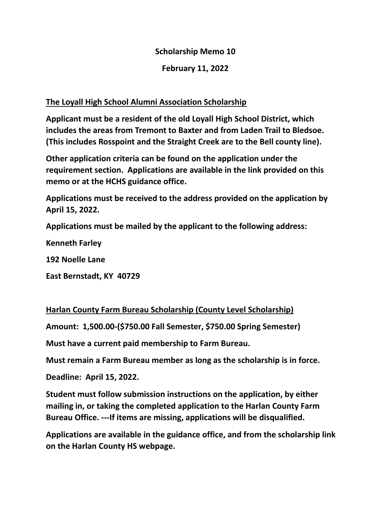## **Scholarship Memo 10**

## **February 11, 2022**

## **The Loyall High School Alumni Association Scholarship**

**Applicant must be a resident of the old Loyall High School District, which includes the areas from Tremont to Baxter and from Laden Trail to Bledsoe. (This includes Rosspoint and the Straight Creek are to the Bell county line).**

**Other application criteria can be found on the application under the requirement section. Applications are available in the link provided on this memo or at the HCHS guidance office.** 

**Applications must be received to the address provided on the application by April 15, 2022.**

**Applications must be mailed by the applicant to the following address:**

**Kenneth Farley**

**192 Noelle Lane**

**East Bernstadt, KY 40729**

**Harlan County Farm Bureau Scholarship (County Level Scholarship)**

**Amount: 1,500.00-(\$750.00 Fall Semester, \$750.00 Spring Semester)**

**Must have a current paid membership to Farm Bureau.**

**Must remain a Farm Bureau member as long as the scholarship is in force.**

**Deadline: April 15, 2022.**

**Student must follow submission instructions on the application, by either mailing in, or taking the completed application to the Harlan County Farm Bureau Office. ---If items are missing, applications will be disqualified.**

**Applications are available in the guidance office, and from the scholarship link on the Harlan County HS webpage.**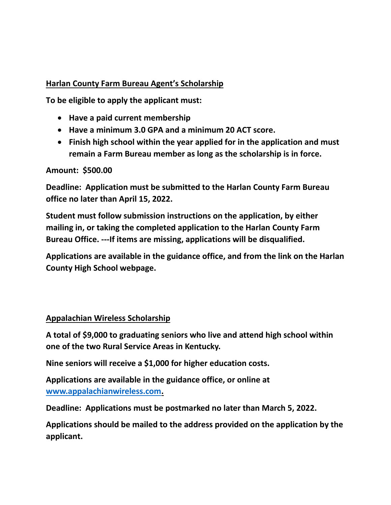### **Harlan County Farm Bureau Agent's Scholarship**

**To be eligible to apply the applicant must:**

- **Have a paid current membership**
- **Have a minimum 3.0 GPA and a minimum 20 ACT score.**
- **Finish high school within the year applied for in the application and must remain a Farm Bureau member as long as the scholarship is in force.**

#### **Amount: \$500.00**

**Deadline: Application must be submitted to the Harlan County Farm Bureau office no later than April 15, 2022.**

**Student must follow submission instructions on the application, by either mailing in, or taking the completed application to the Harlan County Farm Bureau Office. ---If items are missing, applications will be disqualified.**

**Applications are available in the guidance office, and from the link on the Harlan County High School webpage.**

### **Appalachian Wireless Scholarship**

**A total of \$9,000 to graduating seniors who live and attend high school within one of the two Rural Service Areas in Kentucky.**

**Nine seniors will receive a \$1,000 for higher education costs.**

**Applications are available in the guidance office, or online at [www.appalachianwireless.com.](http://www.appalachianwireless.com/)** 

**Deadline: Applications must be postmarked no later than March 5, 2022.**

**Applications should be mailed to the address provided on the application by the applicant.**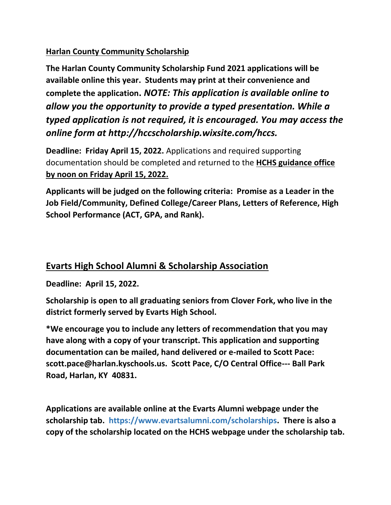## **Harlan County Community Scholarship**

**The Harlan County Community Scholarship Fund 2021 applications will be available online this year. Students may print at their convenience and complete the application.** *NOTE: This application is available online to allow you the opportunity to provide a typed presentation. While a typed application is not required, it is encouraged. You may access the online form at http://hccscholarship.wixsite.com/hccs.*

**Deadline: Friday April 15, 2022.** Applications and required supporting documentation should be completed and returned to the **HCHS guidance office by noon on Friday April 15, 2022.** 

**Applicants will be judged on the following criteria: Promise as a Leader in the Job Field/Community, Defined College/Career Plans, Letters of Reference, High School Performance (ACT, GPA, and Rank).**

# **Evarts High School Alumni & Scholarship Association**

**Deadline: April 15, 2022.** 

**Scholarship is open to all graduating seniors from Clover Fork, who live in the district formerly served by Evarts High School.**

**\*We encourage you to include any letters of recommendation that you may have along with a copy of your transcript. This application and supporting documentation can be mailed, hand delivered or e-mailed to Scott Pace: scott.pace@harlan.kyschools.us. Scott Pace, C/O Central Office--- Ball Park Road, Harlan, KY 40831.**

**Applications are available online at the Evarts Alumni webpage under the scholarship tab. https://www.evartsalumni.com/scholarships. There is also a copy of the scholarship located on the HCHS webpage under the scholarship tab.**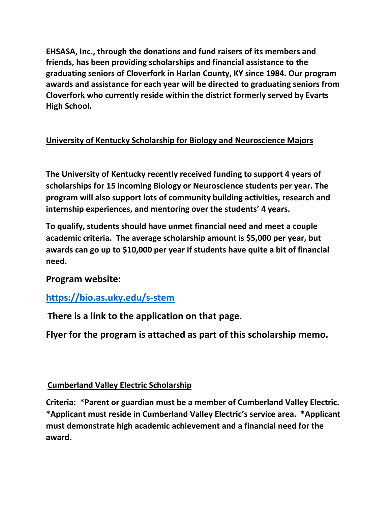**EHSASA, Inc., through the donations and fund raisers of its members and friends, has been providing scholarships and financial assistance to the graduating seniors of Cloverfork in Harlan County, KY since 1984. Our program awards and assistance for each year will be directed to graduating seniors from Cloverfork who currently reside within the district formerly served by Evarts High School.**

## **University of Kentucky Scholarship for Biology and Neuroscience Majors**

**The University of Kentucky recently received funding to support 4 years of scholarships for 15 incoming Biology or Neuroscience students per year. The program will also support lots of community building activities, research and internship experiences, and mentoring over the students' 4 years.** 

**To qualify, students should have unmet financial need and meet a couple academic criteria. The average scholarship amount is \$5,000 per year, but awards can go up to \$10,000 per year if students have quite a bit of financial need.**

**Program website:**

## **<https://bio.as.uky.edu/s-stem>**

**There is a link to the application on that page.**

**Flyer for the program is attached as part of this scholarship memo.**

## **Cumberland Valley Electric Scholarship**

**Criteria: \*Parent or guardian must be a member of Cumberland Valley Electric. \*Applicant must reside in Cumberland Valley Electric's service area. \*Applicant must demonstrate high academic achievement and a financial need for the award.**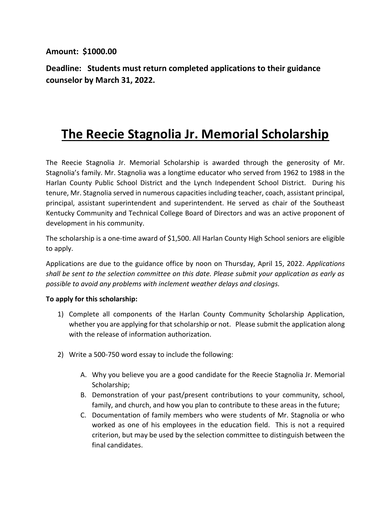#### **Amount: \$1000.00**

**Deadline: Students must return completed applications to their guidance counselor by March 31, 2022.**

# **The Reecie Stagnolia Jr. Memorial Scholarship**

The Reecie Stagnolia Jr. Memorial Scholarship is awarded through the generosity of Mr. Stagnolia's family. Mr. Stagnolia was a longtime educator who served from 1962 to 1988 in the Harlan County Public School District and the Lynch Independent School District. During his tenure, Mr. Stagnolia served in numerous capacities including teacher, coach, assistant principal, principal, assistant superintendent and superintendent. He served as chair of the Southeast Kentucky Community and Technical College Board of Directors and was an active proponent of development in his community.

The scholarship is a one-time award of \$1,500. All Harlan County High School seniors are eligible to apply.

Applications are due to the guidance office by noon on Thursday, April 15, 2022. *Applications shall be sent to the selection committee on this date. Please submit your application as early as possible to avoid any problems with inclement weather delays and closings.*

#### **To apply for this scholarship:**

- 1) Complete all components of the Harlan County Community Scholarship Application, whether you are applying for that scholarship or not. Please submit the application along with the release of information authorization.
- 2) Write a 500-750 word essay to include the following:
	- A. Why you believe you are a good candidate for the Reecie Stagnolia Jr. Memorial Scholarship;
	- B. Demonstration of your past/present contributions to your community, school, family, and church, and how you plan to contribute to these areas in the future;
	- C. Documentation of family members who were students of Mr. Stagnolia or who worked as one of his employees in the education field. This is not a required criterion, but may be used by the selection committee to distinguish between the final candidates.